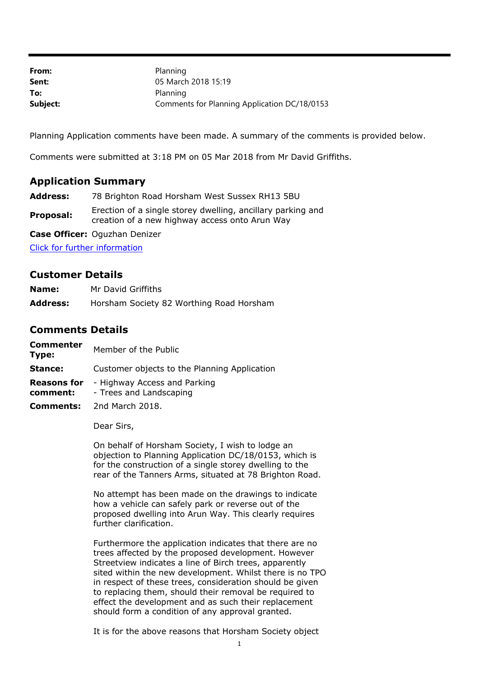| From:    | Planning                                     |
|----------|----------------------------------------------|
| Sent:    | 05 March 2018 15:19                          |
| To:      | Planning                                     |
| Subject: | Comments for Planning Application DC/18/0153 |

Planning Application comments have been made. A summary of the comments is provided below.

Comments were submitted at 3:18 PM on 05 Mar 2018 from Mr David Griffiths.

## **Application Summary**

**Address:** 78 Brighton Road Horsham West Sussex RH13 5BU

**Proposal:** Erection of a single storey dwelling, ancillary parking and creation of a new highway access onto Arun Way

**Case Officer:** Oguzhan Denizer

[Click for further information](https://public-access.horsham.gov.uk/public-access//centralDistribution.do?caseType=Application&keyVal=P2YOCVIJ02X00)

## **Customer Details**

| Name:           | Mr David Griffiths                       |
|-----------------|------------------------------------------|
| <b>Address:</b> | Horsham Society 82 Worthing Road Horsham |

## **Comments Details**

**Commenter Type:** Member of the Public

**Stance:** Customer objects to the Planning Application

**Reasons for**  - Highway Access and Parking

- **comment:** - Trees and Landscaping
- **Comments:** 2nd March 2018.

Dear Sirs,

On behalf of Horsham Society, I wish to lodge an objection to Planning Application DC/18/0153, which is for the construction of a single storey dwelling to the rear of the Tanners Arms, situated at 78 Brighton Road.

No attempt has been made on the drawings to indicate how a vehicle can safely park or reverse out of the proposed dwelling into Arun Way. This clearly requires further clarification.

Furthermore the application indicates that there are no trees affected by the proposed development. However Streetview indicates a line of Birch trees, apparently sited within the new development. Whilst there is no TPO in respect of these trees, consideration should be given to replacing them, should their removal be required to effect the development and as such their replacement should form a condition of any approval granted.

It is for the above reasons that Horsham Society object